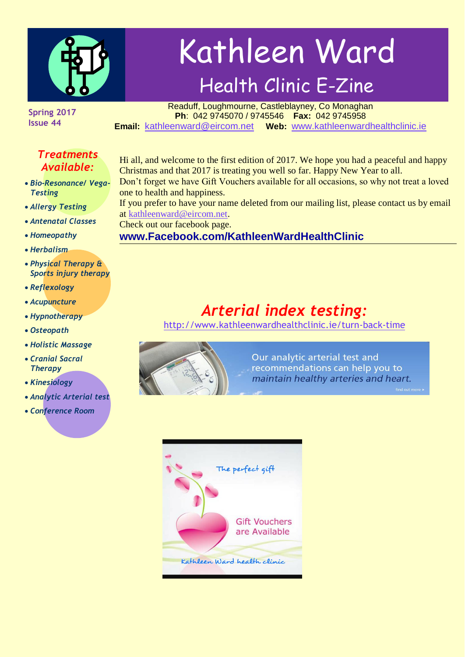

# Kathleen Ward Health Clinic E-Zine

**Spring 2017 Issue 44**

#### Readuff, Loughmourne, Castleblayney, Co Monaghan **Ph**: 042 9745070 / 9745546 **Fax:** 042 9745958 **Email:** [kathleenward@eircom.net](mailto:kathleenward@eircom.net) **Web:** [www.kathleenwardhealthclinic.ie](http://www.kathleenwardhealthclinic.ie/)

#### *Treatments Available:*

- *Bio-Resonance/ Vega-Testing*
- *Allergy Testing*
- *Antenatal Classes*
- *Homeopathy*
- *Herbalism*
- *Physical Therapy & Sports injury therapy*
- *Reflexology*
- *Acupuncture*
- *Hypnotherapy*
- *Osteopath*
- *Holistic Massage*
- *Cranial Sacral Therapy*
- *Kinesiology*
- *Analytic Arterial test*
- *Conference Room*

Hi all, and welcome to the first edition of 2017. We hope you had a peaceful and happy Christmas and that 2017 is treating you well so far. Happy New Year to all. Don't forget we have Gift Vouchers available for all occasions, so why not treat a loved one to health and happiness. If you prefer to have your name deleted from our mailing list, please contact us by email at [kathleenward@eircom.net.](mailto:kathleenward@eircom.net) Check out our facebook page. **www.Facebook.com/KathleenWardHealthClinic**

## *Arterial index testing:*

<http://www.kathleenwardhealthclinic.ie/turn-back-time>



Our analytic arterial test and recommendations can help you to maintain healthy arteries and heart.

ind out more »

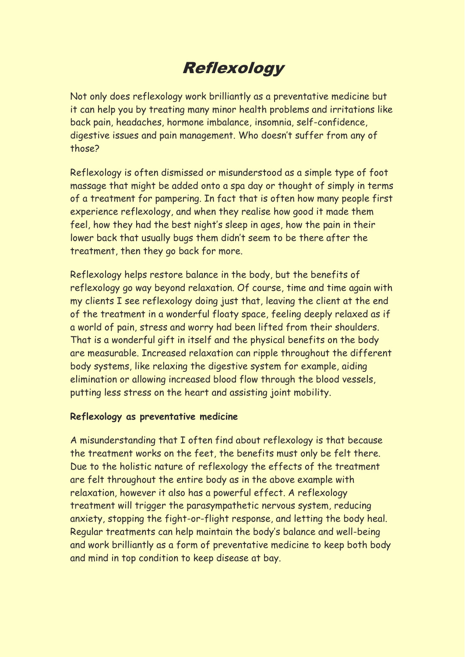## Reflexology

Not only does reflexology work brilliantly as a preventative medicine but it can help you by treating many minor health problems and irritations like back pain, headaches, hormone imbalance, insomnia, self-confidence, digestive issues and pain management. Who doesn't suffer from any of those?

Reflexology is often dismissed or misunderstood as a simple type of foot massage that might be added onto a spa day or thought of simply in terms of a treatment for pampering. In fact that is often how many people first experience reflexology, and when they realise how good it made them feel, how they had the best night's sleep in ages, how the pain in their lower back that usually bugs them didn't seem to be there after the treatment, then they go back for more.

Reflexology helps restore balance in the body, but the benefits of reflexology go way beyond relaxation. Of course, time and time again with my clients I see reflexology doing just that, leaving the client at the end of the treatment in a wonderful floaty space, feeling deeply relaxed as if a world of pain, stress and worry had been lifted from their shoulders. That is a wonderful gift in itself and the physical benefits on the body are measurable. Increased relaxation can ripple throughout the different body systems, like relaxing the digestive system for example, aiding elimination or allowing increased blood flow through the blood vessels, putting less stress on the heart and assisting joint mobility.

#### **Reflexology as preventative medicine**

A misunderstanding that I often find about reflexology is that because the treatment works on the feet, the benefits must only be felt there. Due to the holistic nature of reflexology the effects of the treatment are felt throughout the entire body as in the above example with relaxation, however it also has a powerful effect. A reflexology treatment will trigger the parasympathetic nervous system, reducing anxiety, stopping the fight-or-flight response, and letting the body heal. Regular treatments can help maintain the body's balance and well-being and work brilliantly as a form of preventative medicine to keep both body and mind in top condition to keep disease at bay.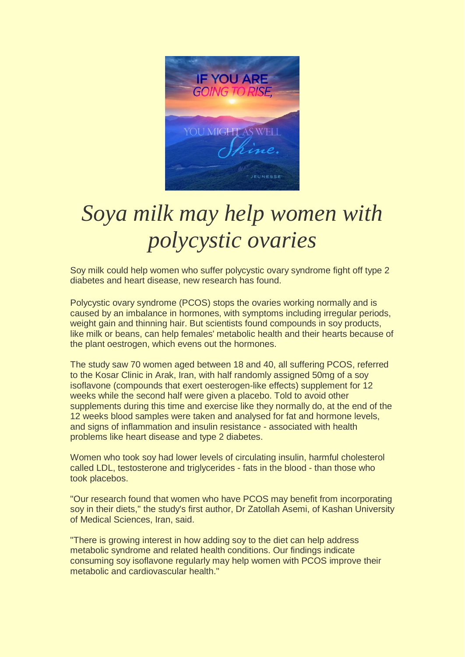

## *Soya milk may help women with polycystic ovaries*

Soy milk could help women who suffer polycystic ovary syndrome fight off type 2 diabetes and heart disease, new research has found.

Polycystic ovary syndrome (PCOS) stops the ovaries working normally and is caused by an imbalance in hormones, with symptoms including irregular periods, weight gain and thinning hair. But scientists found compounds in soy products, like milk or beans, can help females' metabolic health and their hearts because of the plant oestrogen, which evens out the hormones.

The study saw 70 women aged between 18 and 40, all suffering PCOS, referred to the Kosar Clinic in Arak, Iran, with half randomly assigned 50mg of a soy isoflavone (compounds that exert oesterogen-like effects) supplement for 12 weeks while the second half were given a placebo. Told to avoid other supplements during this time and exercise like they normally do, at the end of the 12 weeks blood samples were taken and analysed for fat and hormone levels, and signs of inflammation and insulin resistance - associated with health problems like heart disease and type 2 diabetes.

Women who took soy had lower levels of circulating insulin, harmful cholesterol called LDL, testosterone and triglycerides - fats in the blood - than those who took placebos.

"Our research found that women who have PCOS may benefit from incorporating soy in their diets," the study's first author, Dr Zatollah Asemi, of Kashan University of Medical Sciences, Iran, said.

"There is growing interest in how adding soy to the diet can help address metabolic syndrome and related health conditions. Our findings indicate consuming soy isoflavone regularly may help women with PCOS improve their metabolic and cardiovascular health."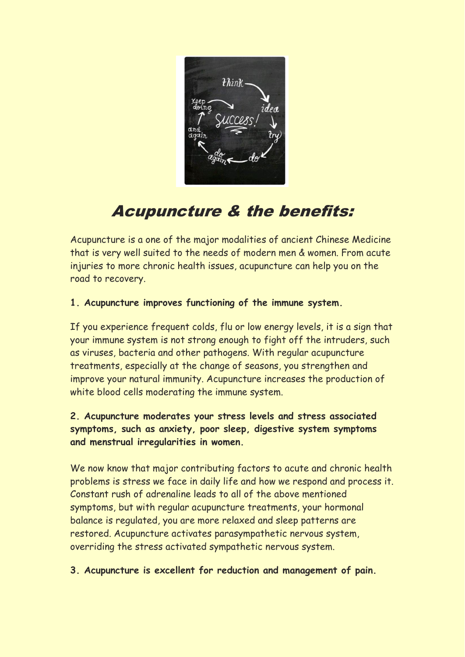

## Acupuncture & the benefits:

Acupuncture is a one of the major modalities of ancient Chinese Medicine that is very well suited to the needs of modern men & women. From acute injuries to more chronic health issues, acupuncture can help you on the road to recovery.

#### **1. Acupuncture improves functioning of the immune system.**

If you experience frequent colds, flu or low energy levels, it is a sign that your immune system is not strong enough to fight off the intruders, such as viruses, bacteria and other pathogens. With regular acupuncture treatments, especially at the change of seasons, you strengthen and improve your natural immunity. Acupuncture increases the production of white blood cells moderating the immune system.

#### **2. Acupuncture moderates your stress levels and stress associated symptoms, such as anxiety, poor sleep, digestive system symptoms and menstrual irregularities in women.**

We now know that major contributing factors to acute and chronic health problems is stress we face in daily life and how we respond and process it. Constant rush of adrenaline leads to all of the above mentioned symptoms, but with regular acupuncture treatments, your hormonal balance is regulated, you are more relaxed and sleep patterns are restored. Acupuncture activates parasympathetic nervous system, overriding the stress activated sympathetic nervous system.

#### **3. Acupuncture is excellent for reduction and management of pain.**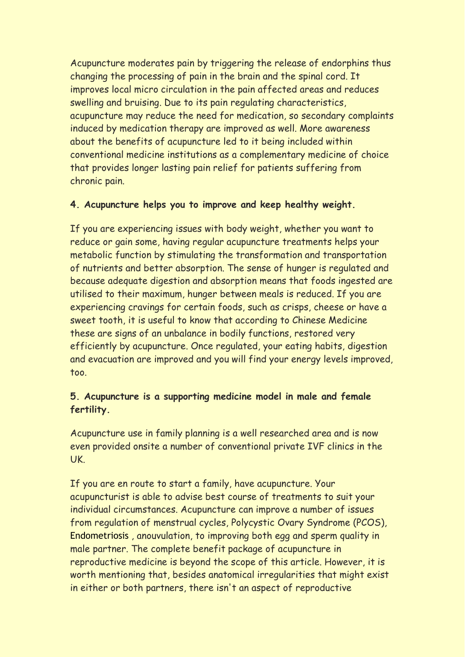Acupuncture moderates pain by triggering the release of endorphins thus changing the processing of pain in the brain and the spinal cord. It improves local micro circulation in the pain affected areas and reduces swelling and bruising. Due to its pain regulating characteristics, acupuncture may reduce the need for medication, so secondary complaints induced by medication therapy are improved as well. More awareness about the benefits of acupuncture led to it being included within conventional medicine institutions as a complementary medicine of choice that provides longer lasting pain relief for patients suffering from chronic pain.

#### **4. Acupuncture helps you to improve and keep healthy weight.**

If you are experiencing issues with body weight, whether you want to reduce or gain some, having regular acupuncture treatments helps your metabolic function by stimulating the transformation and transportation of nutrients and better absorption. The sense of hunger is regulated and because adequate digestion and absorption means that foods ingested are utilised to their maximum, hunger between meals is reduced. If you are experiencing cravings for certain foods, such as crisps, cheese or have a sweet tooth, it is useful to know that according to Chinese Medicine these are signs of an unbalance in bodily functions, restored very efficiently by acupuncture. Once regulated, your eating habits, digestion and evacuation are improved and you will find your energy levels improved, too.

#### **5. Acupuncture is a supporting medicine model in male and female fertility.**

Acupuncture use in family planning is a well researched area and is now even provided onsite a number of conventional private IVF clinics in the UK.

If you are en route to start a family, have acupuncture. Your acupuncturist is able to advise best course of treatments to suit your individual circumstances. Acupuncture can improve a number of issues from regulation of menstrual cycles, Polycystic Ovary Syndrome (PCOS), Endometriosis , anouvulation, to improving both egg and sperm quality in male partner. The complete benefit package of acupuncture in reproductive medicine is beyond the scope of this article. However, it is worth mentioning that, besides anatomical irregularities that might exist in either or both partners, there isn't an aspect of reproductive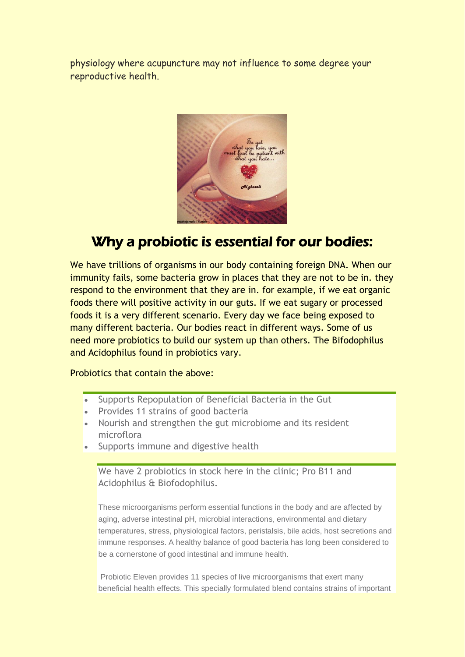physiology where acupuncture may not influence to some degree your reproductive health.



### Why a probiotic is essential for our bodies:

We have trillions of organisms in our body containing foreign DNA. When our immunity fails, some bacteria grow in places that they are not to be in. they respond to the environment that they are in. for example, if we eat organic foods there will positive activity in our guts. If we eat sugary or processed foods it is a very different scenario. Every day we face being exposed to many different bacteria. Our bodies react in different ways. Some of us need more probiotics to build our system up than others. The Bifodophilus and Acidophilus found in probiotics vary.

Probiotics that contain the above:

- Supports Repopulation of Beneficial Bacteria in the Gut
- Provides 11 strains of good bacteria
- Nourish and strengthen the gut microbiome and its resident microflora
- Supports immune and digestive health

We have 2 probiotics in stock here in the clinic; Pro B11 and Acidophilus & Biofodophilus.

These microorganisms perform essential functions in the body and are affected by aging, adverse intestinal pH, microbial interactions, environmental and dietary temperatures, stress, physiological factors, peristalsis, bile acids, host secretions and immune responses. A healthy balance of good bacteria has long been considered to be a cornerstone of good intestinal and immune health.

Probiotic Eleven provides 11 species of live microorganisms that exert many beneficial health effects. This specially formulated blend contains strains of important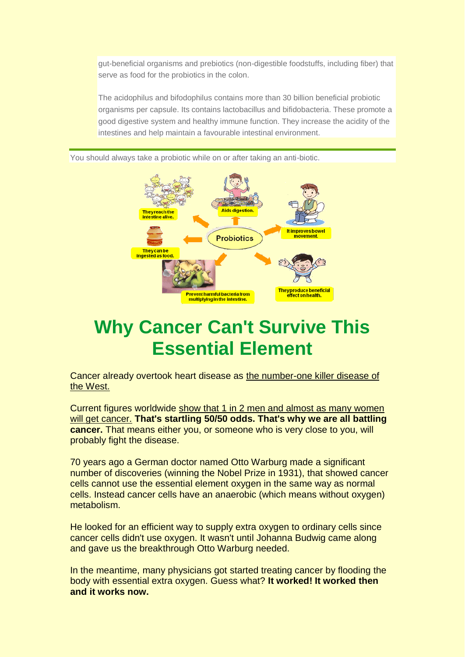gut-beneficial organisms and prebiotics (non-digestible foodstuffs, including fiber) that serve as food for the probiotics in the colon.

The acidophilus and bifodophilus contains more than 30 billion beneficial probiotic organisms per capsule. Its contains lactobacillus and bifidobacteria. These promote a good digestive system and healthy immune function. They increase the acidity of the intestines and help maintain a favourable intestinal environment.



You should always take a probiotic while on or after taking an anti-biotic.

## **Why Cancer Can't Survive This Essential Element**

Cancer already overtook heart disease as the number-one killer disease of the West.

Current figures worldwide show that 1 in 2 men and almost as many women will get cancer. **That's startling 50/50 odds. That's why we are all battling cancer.** That means either you, or someone who is very close to you, will probably fight the disease.

70 years ago a German doctor named Otto Warburg made a significant number of discoveries (winning the Nobel Prize in 1931), that showed cancer cells cannot use the essential element oxygen in the same way as normal cells. Instead cancer cells have an anaerobic (which means without oxygen) metabolism.

He looked for an efficient way to supply extra oxygen to ordinary cells since cancer cells didn't use oxygen. It wasn't until Johanna Budwig came along and gave us the breakthrough Otto Warburg needed.

In the meantime, many physicians got started treating cancer by flooding the body with essential extra oxygen. Guess what? **It worked! It worked then and it works now.**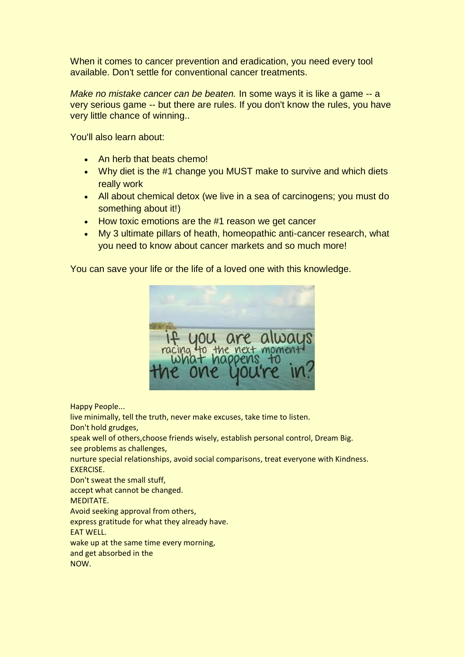When it comes to cancer prevention and eradication, you need every tool available. Don't settle for conventional cancer treatments.

*Make no mistake cancer can be beaten.* In some ways it is like a game -- a very serious game -- but there are rules. If you don't know the rules, you have very little chance of winning..

You'll also learn about:

- An herb that beats chemo!
- Why diet is the #1 change you MUST make to survive and which diets really work
- All about chemical detox (we live in a sea of carcinogens; you must do something about it!)
- How toxic emotions are the #1 reason we get cancer
- My 3 ultimate pillars of heath, homeopathic anti-cancer research, what you need to know about cancer markets and so much more!

You can save your life or the life of a loved one with this knowledge.



Happy People...

live minimally, tell the truth, never make excuses, take time to listen. Don't hold grudges,

speak well of others,choose friends wisely, establish personal control, Dream Big. see problems as challenges,

nurture special relationships, avoid social comparisons, treat everyone with Kindness. EXERCISE.

Don't sweat the small stuff,

accept what cannot be changed.

MEDITATE.

Avoid seeking approval from others,

express gratitude for what they already have.

EAT WELL.

wake up at the same time every morning,

and get absorbed in the

NOW.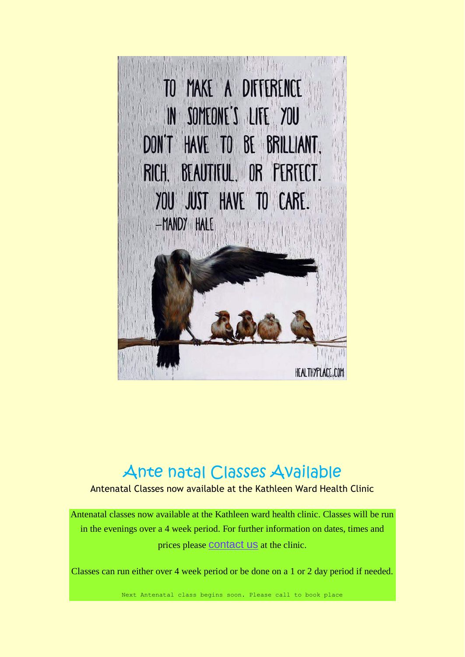

## Ante natal Classes Available

Antenatal Classes now available at the Kathleen Ward Health Clinic

Antenatal classes now available at the Kathleen ward health clinic. Classes will be run in the evenings over a 4 week period. For further information on dates, times and prices please **[contact us](http://www.kathleenwardhealthclinic.ie/index.php?option=com_contact&view=contact&id=1)** at the clinic.

Classes can run either over 4 week period or be done on a 1 or 2 day period if needed.

Next Antenatal class begins soon. Please call to book place